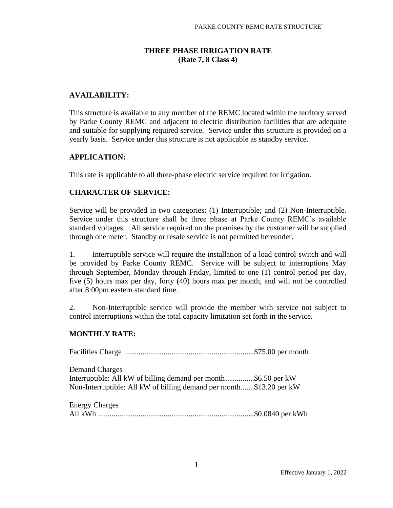# **THREE PHASE IRRIGATION RATE (Rate 7, 8 Class 4)**

# **AVAILABILITY:**

This structure is available to any member of the REMC located within the territory served by Parke County REMC and adjacent to electric distribution facilities that are adequate and suitable for supplying required service. Service under this structure is provided on a yearly basis. Service under this structure is not applicable as standby service.

### **APPLICATION:**

This rate is applicable to all three-phase electric service required for irrigation.

### **CHARACTER OF SERVICE:**

Service will be provided in two categories: (1) Interruptible; and (2) Non-Interruptible. Service under this structure shall be three phase at Parke County REMC's available standard voltages. All service required on the premises by the customer will be supplied through one meter. Standby or resale service is not permitted hereunder.

1. Interruptible service will require the installation of a load control switch and will be provided by Parke County REMC. Service will be subject to interruptions May through September, Monday through Friday, limited to one (1) control period per day, five (5) hours max per day, forty (40) hours max per month, and will not be controlled after 8:00pm eastern standard time.

2. Non-Interruptible service will provide the member with service not subject to control interruptions within the total capacity limitation set forth in the service.

### **MONTHLY RATE:**

Facilities Charge ...................................................................\$75.00 per month

Demand Charges Interruptible: All kW of billing demand per month...............\$6.50 per kW Non-Interruptible: All kW of billing demand per month.......\$13.20 per kW

Energy Charges All kWh .................................................................................\$0.0840 per kWh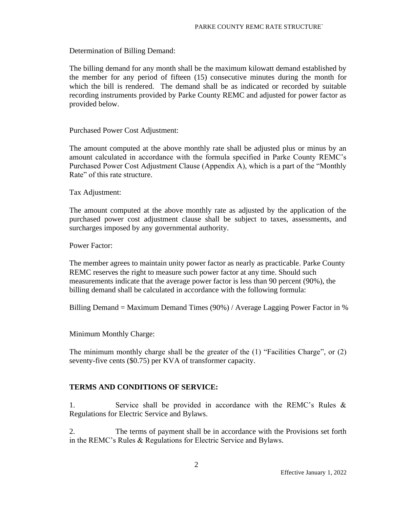Determination of Billing Demand:

The billing demand for any month shall be the maximum kilowatt demand established by the member for any period of fifteen (15) consecutive minutes during the month for which the bill is rendered. The demand shall be as indicated or recorded by suitable recording instruments provided by Parke County REMC and adjusted for power factor as provided below.

Purchased Power Cost Adjustment:

The amount computed at the above monthly rate shall be adjusted plus or minus by an amount calculated in accordance with the formula specified in Parke County REMC's Purchased Power Cost Adjustment Clause (Appendix A), which is a part of the "Monthly Rate" of this rate structure.

Tax Adjustment:

The amount computed at the above monthly rate as adjusted by the application of the purchased power cost adjustment clause shall be subject to taxes, assessments, and surcharges imposed by any governmental authority.

Power Factor:

The member agrees to maintain unity power factor as nearly as practicable. Parke County REMC reserves the right to measure such power factor at any time. Should such measurements indicate that the average power factor is less than 90 percent (90%), the billing demand shall be calculated in accordance with the following formula:

Billing Demand = Maximum Demand Times (90%) / Average Lagging Power Factor in %

Minimum Monthly Charge:

The minimum monthly charge shall be the greater of the (1) "Facilities Charge", or (2) seventy-five cents (\$0.75) per KVA of transformer capacity.

#### **TERMS AND CONDITIONS OF SERVICE:**

1. Service shall be provided in accordance with the REMC's Rules & Regulations for Electric Service and Bylaws.

2. The terms of payment shall be in accordance with the Provisions set forth in the REMC's Rules & Regulations for Electric Service and Bylaws.